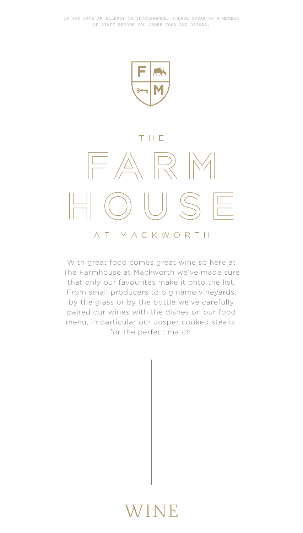

#### THF



With great food comes great wine so here at The Farmhouse at Mackworth we've made sure that only our favourites make it onto the list. From small producers to big name vineyards, by the glass or by the bottle we've carefully paired our wines with the dishes on our food menu, in particular our Josper cooked steaks, for the perfect match.

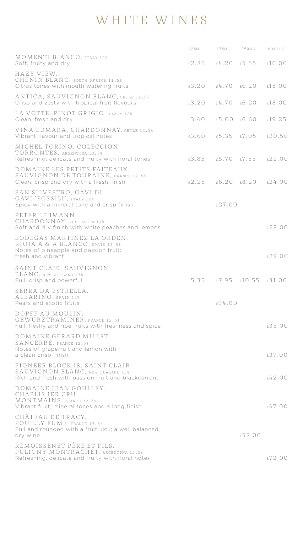## WHITE WINES

|                                                                                                                                | 125ML                   | 175ML                   | 250ML                             | <b>BOTTLE</b> |
|--------------------------------------------------------------------------------------------------------------------------------|-------------------------|-------------------------|-----------------------------------|---------------|
| MOMENTI BIANCO, ITALY 12%<br>Soft, fruity and dry                                                                              |                         |                         | $£2.85$ $£4.20$ $£5.55$ $£16.00$  |               |
| HAZY VIEW.<br>CHENIN BLANC, SOUTH AFRICA 11.5%<br>Citrus tones with mouth watering fruits                                      |                         | $£3.20$ $£4.70$ $£6.20$ |                                   | f.18.00       |
| ANTICA, SAUVIGNON BLANC, CHILE 12.5%<br>Crisp and zesty with tropical fruit flavours                                           |                         | $£3.20$ $£4.70$ $£6.20$ |                                   | £18.00        |
| LA VOTTE, PINOT GRIGIO, ITALY 12%<br>Clean, fresh and dry                                                                      |                         | £3.40  £5.00  £6.60     |                                   | £19.25        |
| VIÑA EDMARA, CHARDONNAY, CHILE 13.5%<br>Vibrant flavour and tropical notes                                                     |                         |                         | $£3.60$ $£5.35$ $£7.05$ $£20.50$  |               |
| MICHEL TORINO, COLECCION<br>TORRONTES, ARGENTINA 13.5%<br>Refreshing, delicate and fruity with floral tones                    | $£3.85$ $£5.70$ $£7.55$ |                         |                                   | £22.00        |
| DOMAINE LES PETITS FAITEAUX.<br><b>SAUVIGNON DE TOURAINE, FRANCE 12.5%</b><br>Clean, crisp and dry with a fresh finish         |                         |                         | $£2.25$ $£6.20$ $£8.20$ $£24.00$  |               |
| SAN SILVESTRO, GAVI DI<br>GAVI 'FOSSILI'. ITALY 12%<br>Spicy with a mineral tone and crisp finish                              |                         | £27.00                  |                                   |               |
| PETER LEHMANN.<br>CHARDONNAY, AUSTRALIA 14%<br>Soft and dry finish with white peaches and lemons                               |                         |                         |                                   | £28.00        |
| BODEGAS MARTINEZ LA ORDEN.<br>RIOJA A & A BLANCO, SPAIN 13.5%<br>Notes of pineapple and passion fruit;<br>fresh and vibrant    |                         |                         |                                   | £29.00        |
| SAINT CLAIR, SAUVIGNON<br>BLANC, NEW ZEALAND 13%<br>Full, crisp and powerful                                                   |                         |                         | $£5.35$ $£7.95$ $£10.55$ $£31.00$ |               |
| SERRA DA ESTRELLA,<br>ALBARINO, SPAIN 13%<br>Pears and exotic fruits                                                           |                         | £34.00                  |                                   |               |
| DOPFF AU MOULIN.<br>GEWURZTRAMINER, FRANCE 13.5%<br>Full, fleshy and ripe fruits with freshness and spice                      |                         |                         |                                   | £35.00        |
| DOMAINE GÉRARD MILLET.<br>SANCERRE. FRANCE 12.5%<br>Notes of grapefruit and lemon with<br>a clean crisp finish                 |                         |                         |                                   | £37.00        |
| PIONEER BLOCK 18, SAINT CLAIR<br><b>SAUVIGNON BLANC, NEW ZEALAND 13%</b><br>Rich and fresh with passion fruit and blackcurrant |                         |                         |                                   | f.42.00       |
| DOMAINE JEAN GOULLEY.<br>CHABLIS 1ER CRU<br>MONTMAINS, FRANCE 12.5%<br>Vibrant fruit, mineral tones and a long finish          |                         |                         |                                   | £47.00        |
| CHÂTEAU DE TRACY.<br>POUILLY FUME. FRANCE 13.5%<br>Full and rounded with a fruit kick; a well balanced,<br>dry wine            |                         |                         | £52.00                            |               |
| REMOISSENET PÈRE ET FILS.<br>PULIGNY MONTRACHET, ARGENTINA 12.5%<br>Refreshing, delicate and fruity with floral notes          |                         |                         |                                   | £72.00        |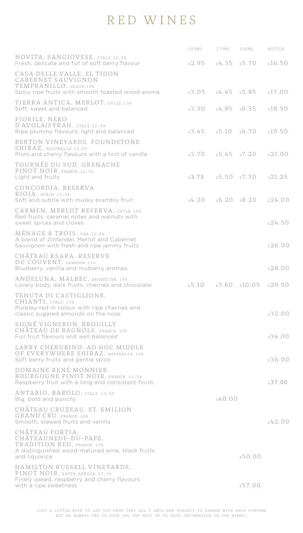## RED WINES

|                                                                                                                                          | 125ML                   | 175ML  | 250ML                                        | <b>BOTTLE</b> |
|------------------------------------------------------------------------------------------------------------------------------------------|-------------------------|--------|----------------------------------------------|---------------|
| NOVITA, SANGIOVESE, ITALY 12.5%<br>Fresh, delicate and full of soft berry flavour                                                        |                         |        | $£2.95$ $£4.35$ $£5.70$                      | £16.50        |
| CASA DELLE VALLE, EL TIDON<br>CABERNET SAUVIGNON<br>TEMPRANILLO, SPAIN 13%<br>Spicy ripe fruits with smooth toasted wood aroma           | £3.05 £4.45 £5.85       |        |                                              | £17.00        |
| TIERRA ANTICA, MERLOT, CHILE 13%<br>Soft, sweet and balanced                                                                             |                         |        | $£3.30$ $£4.85$ $£6.35$ $£18.50$             |               |
| FIORILE, NERO<br>D'AVOLA/SYRAH, ITALY 12.5%<br>Ripe plummy flavours; light and balanced                                                  | $£3.45$ $£5.10$ $£6.70$ |        |                                              | £19.50        |
| BERTON VINEYARDS, FOUNDSTONE<br>SHIRAZ, AUSTRALIA 13.5%<br>Plum and cherry flavours with a hint of vanilla                               | $£3.70$ $£5.45$ $£7.20$ |        |                                              | £21.00        |
| TOURNÉE DU SUD, GRENACHE<br>PINOT NOIR, FRANCE 12.5%<br>Light and fruity                                                                 |                         |        | $£3.75$ $£5.50$ $£7.30$ $£21.25$             |               |
| CONCORDIA, RESERVA<br>RIOJA, SPAIN 13.5%<br>Soft and subtle with musky brambly fruit                                                     |                         |        | $f(4, 20)$ $f(6, 20)$ $f(8, 20)$ $f(24, 00)$ |               |
| CARMEN, MERLOT RESERVA, CHILE 14%<br>Red fruits, caramel notes and walnuts with<br>sweet spices and cloves                               |                         |        |                                              | .24.50        |
| MÉNAGE À TROIS, USA 13.4%<br>A blend of Zinfandel, Merlot and Cabernet<br>Sauvignon with fresh and ripe jammy fruits                     |                         |        |                                              | £26.00        |
| CHÂTEAU KSARA, RESERVE<br>DU COUVENT, LEBANON 13%<br>Blueberry, vanilla and mulberry aromas                                              |                         |        |                                              | £28.00        |
| ANDELUNA, MALBEC, ARGENTINA 14%<br>Lovely body, dark fruits, cherries and chocolate                                                      |                         |        | $£5.10$ $£7.60$ $£10.05$ $£29.50$            |               |
| TENUTA DI CASTIGLIONE.<br>CHIANTI, ITALY 13%<br>Purpley-red in colour with ripe cherries and<br>classic sugared almonds on the nose      |                         |        |                                              | £32.00        |
| SIGNÉ VIGNERON, BROUILLY<br>CHATEAU DE BAGNOLS, FRANCE 13%<br>Full fruit flavours and well balanced                                      |                         |        |                                              | 6.34.00       |
| LARRY CHERUBINO, AD HOC MIDDLE<br>OF EVERYWHERE SHIRAZ, AUSTRALIA 14%<br>Soft berry fruits and gentle spice                              |                         |        |                                              | £36.00        |
| DOMAINE RENÉ MONNIER,<br>BOURGOGNE PINOT NOIR. FRANCE 12.5%<br>Raspberry fruit with a long and consistent finish                         |                         |        |                                              | £37.00        |
| ANTARIO, BAROLO, ITALY 13.5%<br>Big, bold and punchy                                                                                     |                         | £40.00 |                                              |               |
| CHÂTEAU CRUZEAU, ST. EMILION<br>GRAND CRU, FRANCE 14%<br>Smooth, stewed fruits and vanilla                                               |                         |        |                                              | f.42.00       |
| CHÂTEAU FORTIA.<br>CHÂTEAUNEUF-DU-PAPE.<br>TRADITION RED. FRANCE 15%<br>A distinguished wood-matured wine, black fruits<br>and liquorice |                         |        | £50.00                                       |               |
| HAMILTON RUSSELL VINEYARDS.<br>PINOT NOIR, SOUTH AFRICA 13.5%<br>Finely oaked, raspberry and cherry flavours<br>with a ripe sweetness    |                         |        | £57.00                                       |               |
|                                                                                                                                          |                         |        |                                              |               |